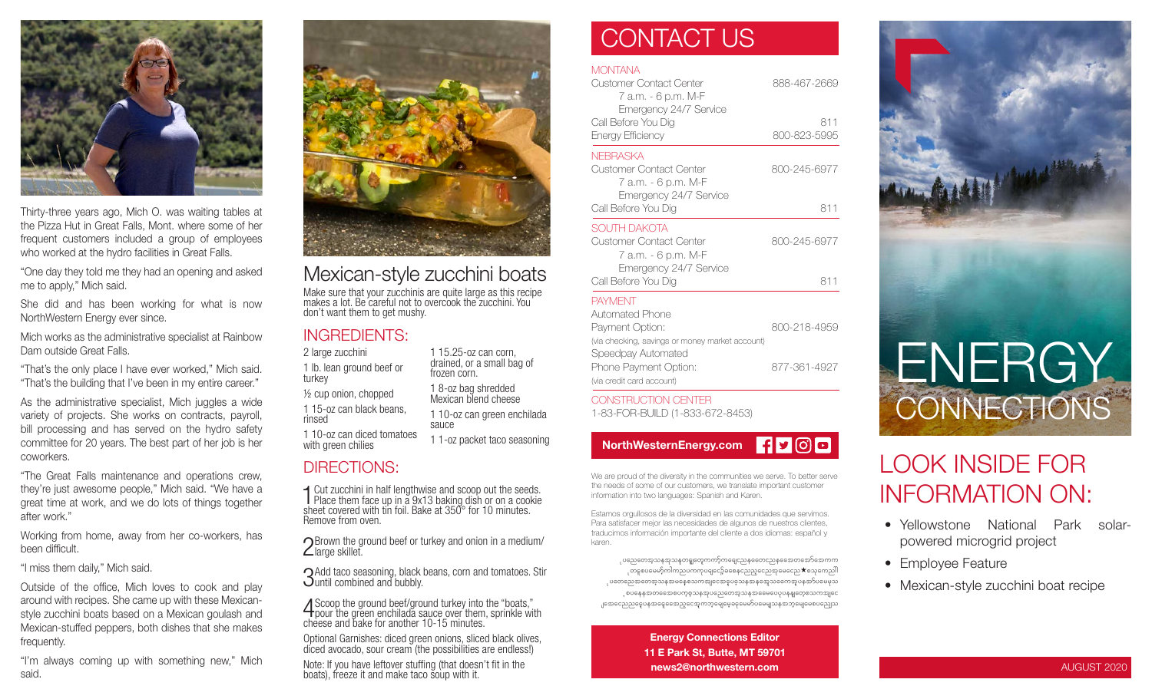

Thirty-three years ago, Mich O. was waiting tables at the Pizza Hut in Great Falls, Mont. where some of her frequent customers included a group of employees who worked at the hydro facilities in Great Falls.

"One day they told me they had an opening and asked me to apply," Mich said.

She did and has been working for what is now NorthWestern Energy ever since.

Mich works as the administrative specialist at Rainbow Dam outside Great Falls.

"That's the only place I have ever worked," Mich said. "That's the building that I've been in my entire career."

As the administrative specialist, Mich juggles a wide variety of projects. She works on contracts, payroll, bill processing and has served on the hydro safety committee for 20 years. The best part of her job is her coworkers.

"The Great Falls maintenance and operations crew, they're just awesome people," Mich said. "We have a great time at work, and we do lots of things together after work."

Working from home, away from her co-workers, has been difficult.

"I miss them daily," Mich said.

Outside of the office, Mich loves to cook and play around with recipes. She came up with these Mexicanstyle zucchini boats based on a Mexican goulash and Mexican-stuffed peppers, both dishes that she makes frequently.

"I'm always coming up with something new," Mich said.



### Mexican-style zucchini boats

Make sure that your zucchinis are quite large as this recipe makes a lot. Be careful not to overcook the zucchini. You don't want them to get mushy.

#### INGREDIENTS:

turkey

rinsed

2 large zucchini 1 lb. lean ground beef or ½ cup onion, chopped 1 15-oz can black beans, 1 10-oz can diced tomatoes with green chilies 1 15.25-oz can corn, drained, or a small bag of frozen corn. 1 8-oz bag shredded Mexican blend cheese 1 10-oz can green enchilada sauce 1 1-oz packet taco seasoning

### DIRECTIONS:

1 Cut zucchini in half lengthwise and scoop out the seeds.<br>Place them face up in a 9x13 baking dish or on a cookie Place them face up in a 9x13 baking dish or on a cookie sheet covered with tin foil. Bake at 350° for 10 minutes. Remove from oven.

 $\bigcap$  Brown the ground beef or turkey and onion in a medium/  $\angle$ large skillet.

3Add taco seasoning, black beans, corn and tomatoes. Stir until combined and bubbly.

4Scoop the ground beef/ground turkey into the "boats," pour the green enchilada sauce over them, sprinkle with cheese and bake for another 10-15 minutes.

Optional Garnishes: diced green onions, sliced black olives, diced avocado, sour cream (the possibilities are endless!)

Note: If you have leftover stuffing (that doesn't fit in the boats), freeze it and make taco soup with it.

### CONTACT US

#### **MONTANA**

| Customer Contact Center<br>7 a.m. - 6 p.m. M-F<br>Emergency 24/7 Service<br>Call Before You Dig<br>Energy Efficiency | 888-467-2669<br>811<br>800-823-5995 |
|----------------------------------------------------------------------------------------------------------------------|-------------------------------------|
|                                                                                                                      |                                     |
| Call Before You Dig                                                                                                  | 811                                 |
| SOUTH DAKOTA<br>Customer Contact Center<br>7 a.m. - 6 p.m. M-F<br>Emergency 24/7 Service                             | 800-245-6977                        |
| Call Before You Dig                                                                                                  | 811                                 |
| PAYMENT<br>Automated Phone                                                                                           |                                     |
| Payment Option:<br>(via checking, savings or money market account)<br>Speedpay Automated                             | 800-218-4959                        |
| Phone Payment Option:                                                                                                | 877-361-4927                        |

CONSTRUCTION CENTER 1-83-FOR-BUILD (1-833-672-8453)

(via credit card account)



We are proud of the diversity in the communities we serve. To better serve the needs of some of our customers, we translate important customer information into two languages: Spanish and Karen.

Estamos orgullosos de la diversidad en las comunidades que servimos. Para satisfacer mejor las necesidades de algunos de nuestros clientes, traducimos información importante del cliente a dos idiomas: español y karen.

ုပညေတေအ့သနအုသနတရူတွေကကာ့်ကရေငညနတေေငညနအေေတအော်အေကက ုတနစပမေမာ့်ကါကညပကကုပရျငော့်ခစေနညေည့လေညအုမေငေည $\bigstar$ စသုကေညါါ ုပတေညေအတေအ့သနအမနေစသကအျငေအဓူပခဲ့သနအနအေ့သရောအူပနအာ်ပမေမှသ ့စပနေနအတတေောစပက္စစ္သာနအုပညေတေအ့သနအဓေမပေပုပနန္ျတေ့စသကအျငေ .၂အေငြေသည္မွေရေနေနေတာင္ေနေက ဘုံမေျမေ့ခဲ့ေမေမာ္ပါမေမျာသန္ အဘုံမေျမေစပည္သေသ

> Energy Connections Editor 11 E Park St, Butte, MT 59701 news2@northwestern.com



## LOOK INSIDE FOR INFORMATION ON:

- Yellowstone National Park solarpowered microgrid project
- Employee Feature
- Mexican-style zucchini boat recipe